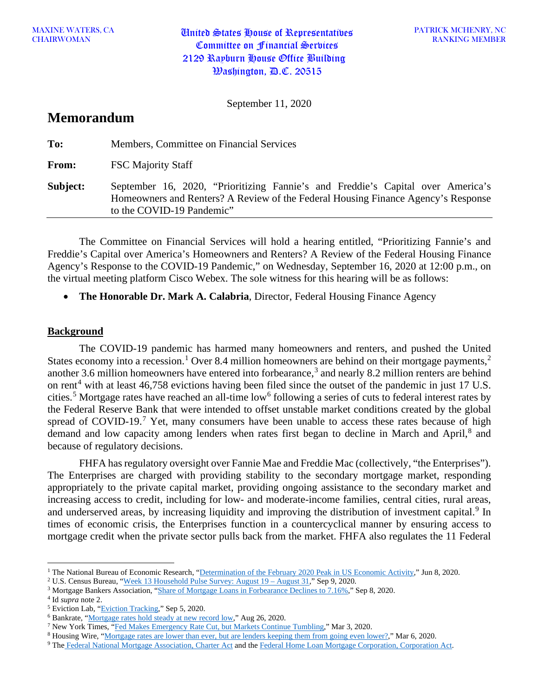MAXINE WATERS, CANNON United States House of Representatives Committee on Financial Services 2129 Rayburn House Office Building  $\mathcal{W}$ ashington,  $\mathcal{P}$ .C. 20515

September 11, 2020

# **Memorandum**

| To:      | Members, Committee on Financial Services                                                                                                                                                          |
|----------|---------------------------------------------------------------------------------------------------------------------------------------------------------------------------------------------------|
| From:    | <b>FSC Majority Staff</b>                                                                                                                                                                         |
| Subject: | September 16, 2020, "Prioritizing Fannie's and Freddie's Capital over America's<br>Homeowners and Renters? A Review of the Federal Housing Finance Agency's Response<br>to the COVID-19 Pandemic" |

The Committee on Financial Services will hold a hearing entitled, "Prioritizing Fannie's and Freddie's Capital over America's Homeowners and Renters? A Review of the Federal Housing Finance Agency's Response to the COVID-19 Pandemic," on Wednesday, September 16, 2020 at 12:00 p.m., on the virtual meeting platform Cisco Webex. The sole witness for this hearing will be as follows:

• **The Honorable Dr. Mark A. Calabria**, Director, Federal Housing Finance Agency

### **Background**

The COVID-19 pandemic has harmed many homeowners and renters, and pushed the United States economy into a recession.<sup>[1](#page-0-0)</sup> Over 8.4 million homeowners are behind on their mortgage payments,<sup>[2](#page-0-1)</sup> another [3](#page-0-2).6 million homeowners have entered into forbearance,<sup>3</sup> and nearly 8.2 million renters are behind on rent<sup>[4](#page-0-3)</sup> with at least 46,758 evictions having been filed since the outset of the pandemic in just 17 U.S. cities.<sup>[5](#page-0-4)</sup> Mortgage rates have reached an all-time low<sup>[6](#page-0-5)</sup> following a series of cuts to federal interest rates by the Federal Reserve Bank that were intended to offset unstable market conditions created by the global spread of COVID-19.<sup>[7](#page-0-6)</sup> Yet, many consumers have been unable to access these rates because of high demand and low capacity among lenders when rates first began to decline in March and April,<sup>[8](#page-0-7)</sup> and because of regulatory decisions.

FHFA has regulatory oversight over Fannie Mae and Freddie Mac (collectively, "the Enterprises"). The Enterprises are charged with providing stability to the secondary mortgage market, responding appropriately to the private capital market, providing ongoing assistance to the secondary market and increasing access to credit, including for low- and moderate-income families, central cities, rural areas, and underserved areas, by increasing liquidity and improving the distribution of investment capital.<sup>[9](#page-0-8)</sup> In times of economic crisis, the Enterprises function in a countercyclical manner by ensuring access to mortgage credit when the private sector pulls back from the market. FHFA also regulates the 11 Federal

<span id="page-0-0"></span><sup>&</sup>lt;sup>1</sup> The National Bureau of Economic Research, ["Determination of the February 2020 Peak in US Economic Activity,](https://www.nber.org/cycles/june2020.pdf)" Jun 8, 2020.

<span id="page-0-1"></span><sup>2</sup> U.S. Census Bureau, ["Week 13 Household Pulse Survey: August 19 –](https://www.census.gov/data/tables/2020/demo/hhp/hhp13.html) August 31," Sep 9, 2020.

<span id="page-0-2"></span><sup>3</sup> Mortgage Bankers Association, ["Share of Mortgage Loans in Forbearance Declines to 7.16%,"](https://www.mba.org/2020-press-releases/september/share-of-mortgage-loans-in-forbearance-declines-to-716) Sep 8, 2020.

<span id="page-0-3"></span><sup>4</sup> Id *supra* note 2.

<span id="page-0-4"></span><sup>5</sup> Eviction Lab, ["Eviction Tracking,](https://evictionlab.org/eviction-tracking/)" Sep 5, 2020.

<span id="page-0-6"></span><span id="page-0-5"></span><sup>&</sup>lt;sup>6</sup> Bankrate, "<u>Mortgage rates hold steady at new record low</u>," Aug 26, 2020.<br><sup>7</sup> New York Times, ["Fed Makes Emergency Rate Cut, but Markets Continue Tumbling,](https://www.nytimes.com/2020/03/03/business/economy/fed-rate-cut.html)" Mar 3, 2020.

<span id="page-0-7"></span><sup>8</sup> Housing Wire, ["Mortgage rates are lower than ever, but are lenders keeping them from going even lower?,](https://www.housingwire.com/articles/mortgage-rates-are-lower-than-ever-but-are-lenders-keeping-them-from-going-even-lower/)" Mar 6, 2020.

<span id="page-0-8"></span><sup>9</sup> The [Federal National Mortgage Association,](https://www.fhfa.gov/SupervisionRegulation/FannieMaeandFreddieMac/Documents/Fannie_Mae_charter_Act_N508.pdf) Charter Act and th[e Federal Home Loan Mortgage Corporation, Corporation Act.](https://www.fhfa.gov/SupervisionRegulation/FannieMaeandFreddieMac/Documents/Freddie_Mac_charter_Act_N508.pdf)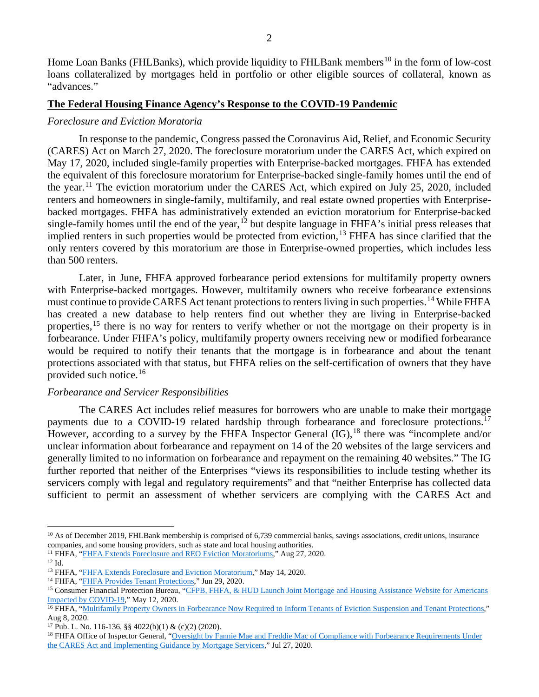Home Loan Banks (FHLBanks), which provide liquidity to FHLBank members<sup>[10](#page-1-0)</sup> in the form of low-cost loans collateralized by mortgages held in portfolio or other eligible sources of collateral, known as "advances."

#### **The Federal Housing Finance Agency's Response to the COVID-19 Pandemic**

#### *Foreclosure and Eviction Moratoria*

In response to the pandemic, Congress passed the Coronavirus Aid, Relief, and Economic Security (CARES) Act on March 27, 2020. The foreclosure moratorium under the CARES Act, which expired on May 17, 2020, included single-family properties with Enterprise-backed mortgages. FHFA has extended the equivalent of this foreclosure moratorium for Enterprise-backed single-family homes until the end of the year.<sup>[11](#page-1-1)</sup> The eviction moratorium under the CARES Act, which expired on July 25, 2020, included renters and homeowners in single-family, multifamily, and real estate owned properties with Enterprisebacked mortgages. FHFA has administratively extended an eviction moratorium for Enterprise-backed single-family homes until the end of the year, $12$  but despite language in FHFA's initial press releases that implied renters in such properties would be protected from eviction,  $^{13}$  $^{13}$  $^{13}$  FHFA has since clarified that the only renters covered by this moratorium are those in Enterprise-owned properties, which includes less than 500 renters.

Later, in June, FHFA approved forbearance period extensions for multifamily property owners with Enterprise-backed mortgages. However, multifamily owners who receive forbearance extensions must continue to provide CARES Act tenant protections to renters living in such properties.<sup>[14](#page-1-4)</sup> While FHFA has created a new database to help renters find out whether they are living in Enterprise-backed properties,<sup>[15](#page-1-5)</sup> there is no way for renters to verify whether or not the mortgage on their property is in forbearance. Under FHFA's policy, multifamily property owners receiving new or modified forbearance would be required to notify their tenants that the mortgage is in forbearance and about the tenant protections associated with that status, but FHFA relies on the self-certification of owners that they have provided such notice. $16$ 

#### *Forbearance and Servicer Responsibilities*

The CARES Act includes relief measures for borrowers who are unable to make their mortgage payments due to a COVID-19 related hardship through forbearance and foreclosure protections.<sup>[17](#page-1-7)</sup> However, according to a survey by the FHFA Inspector General  $(IG)$ , <sup>[18](#page-1-8)</sup> there was "incomplete and/or unclear information about forbearance and repayment on 14 of the 20 websites of the large servicers and generally limited to no information on forbearance and repayment on the remaining 40 websites." The IG further reported that neither of the Enterprises "views its responsibilities to include testing whether its servicers comply with legal and regulatory requirements" and that "neither Enterprise has collected data sufficient to permit an assessment of whether servicers are complying with the CARES Act and

<span id="page-1-0"></span><sup>&</sup>lt;sup>10</sup> As of December 2019, FHLBank membership is comprised of 6,739 commercial banks, savings associations, credit unions, insurance companies, and some housing providers, such as state and local housing authorities.

<span id="page-1-1"></span><sup>&</sup>lt;sup>11</sup> FHFA, ["FHFA Extends Foreclosure and REO Eviction Moratoriums,](https://www.fhfa.gov/Media/PublicAffairs/Pages/FHFA-Extends-Foreclosure-and-REO-Eviction-Moratoriums.aspx)" Aug 27, 2020.

<span id="page-1-2"></span><sup>12</sup> Id.

<span id="page-1-3"></span><sup>13</sup> FHFA, ["FHFA Extends Foreclosure and Eviction Moratorium,"](https://www.fhfa.gov/Media/PublicAffairs/Pages/FHFA-Extends-Foreclosure-and-Eviction-Moratorium.aspx) May 14, 2020.

<span id="page-1-4"></span><sup>&</sup>lt;sup>14</sup> FHFA, ["FHFA Provides Tenant Protections,"](https://www.fhfa.gov/Media/PublicAffairs/Pages/FHFA-Provides-Tenant-Protections.aspx) Jun 29, 2020.

<span id="page-1-5"></span><sup>&</sup>lt;sup>15</sup> Consumer Financial Protection Bureau, "CFPB, FHFA, & HUD Launch Joint Mortgage and Housing Assistance Website for Americans [Impacted by COVID-19,"](https://www.consumerfinance.gov/about-us/newsroom/cfpb-fhfa-hud-joint-mortgage-housing-assistance-website-covid-19/) May 12, 2020.

<span id="page-1-6"></span><sup>&</sup>lt;sup>16</sup> FHFA, ["Multifamily Property Owners in Forbearance Now Required to Inform Tenants of Eviction Suspension and Tenant Protections,](https://www.fhfa.gov/Media/PublicAffairs/Pages/Multifamily-Property-Owners-in-Forbearance-Now-Required-to-Inform-Tenants-of-Eviction-Suspension-and-Tenant-Protections.aspx)" Aug 8, 2020.

<span id="page-1-7"></span><sup>17</sup> Pub. L. No. 116-136, §§ 4022(b)(1) & (c)(2) (2020).

<span id="page-1-8"></span><sup>&</sup>lt;sup>18</sup> FHFA Office of Inspector General, "Oversight by Fannie Mae and Freddie Mac of Compliance with Forbearance Requirements Under [the CARES Act and Implementing Guidance by Mortgage Servicers,"](https://www.fhfaoig.gov/sites/default/files/OIG-2020-004.pdf) Jul 27, 2020.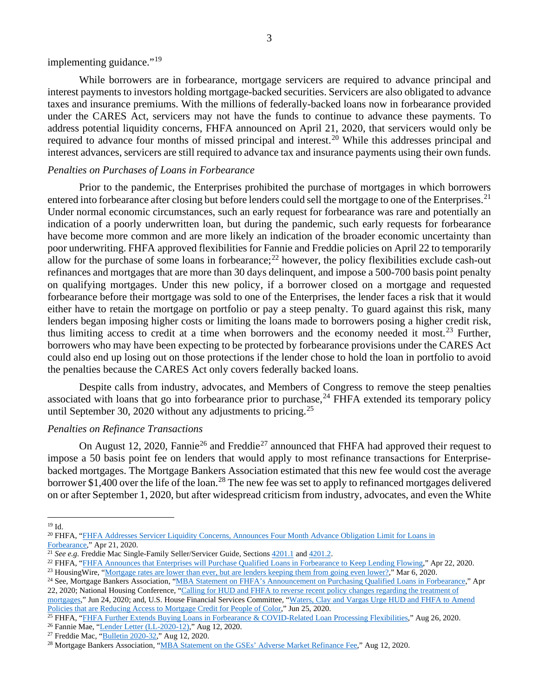implementing guidance."<sup>[19](#page-2-0)</sup>

While borrowers are in forbearance, mortgage servicers are required to advance principal and interest payments to investors holding mortgage-backed securities. Servicers are also obligated to advance taxes and insurance premiums. With the millions of federally-backed loans now in forbearance provided under the CARES Act, servicers may not have the funds to continue to advance these payments. To address potential liquidity concerns, FHFA announced on April 21, 2020, that servicers would only be required to advance four months of missed principal and interest.[20](#page-2-1) While this addresses principal and interest advances, servicers are still required to advance tax and insurance payments using their own funds.

#### *Penalties on Purchases of Loans in Forbearance*

Prior to the pandemic, the Enterprises prohibited the purchase of mortgages in which borrowers entered into forbearance after closing but before lenders could sell the mortgage to one of the Enterprises.<sup>[21](#page-2-2)</sup> Under normal economic circumstances, such an early request for forbearance was rare and potentially an indication of a poorly underwritten loan, but during the pandemic, such early requests for forbearance have become more common and are more likely an indication of the broader economic uncertainty than poor underwriting. FHFA approved flexibilities for Fannie and Freddie policies on April 22 to temporarily allow for the purchase of some loans in forbearance; $^{22}$  $^{22}$  $^{22}$  however, the policy flexibilities exclude cash-out refinances and mortgages that are more than 30 days delinquent, and impose a 500-700 basis point penalty on qualifying mortgages. Under this new policy, if a borrower closed on a mortgage and requested forbearance before their mortgage was sold to one of the Enterprises, the lender faces a risk that it would either have to retain the mortgage on portfolio or pay a steep penalty. To guard against this risk, many lenders began imposing higher costs or limiting the loans made to borrowers posing a higher credit risk, thus limiting access to credit at a time when borrowers and the economy needed it most.<sup>[23](#page-2-4)</sup> Further, borrowers who may have been expecting to be protected by forbearance provisions under the CARES Act could also end up losing out on those protections if the lender chose to hold the loan in portfolio to avoid the penalties because the CARES Act only covers federally backed loans.

Despite calls from industry, advocates, and Members of Congress to remove the steep penalties associated with loans that go into forbearance prior to purchase,  $24$  FHFA extended its temporary policy until September 30, 2020 without any adjustments to pricing.<sup>[25](#page-2-6)</sup>

#### *Penalties on Refinance Transactions*

On August 12, 2020, Fannie<sup>[26](#page-2-7)</sup> and Freddie<sup>[27](#page-2-8)</sup> announced that FHFA had approved their request to impose a 50 basis point fee on lenders that would apply to most refinance transactions for Enterprisebacked mortgages. The Mortgage Bankers Association estimated that this new fee would cost the average borrower \$1,400 over the life of the loan.<sup>[28](#page-2-9)</sup> The new fee was set to apply to refinanced mortgages delivered on or after September 1, 2020, but after widespread criticism from industry, advocates, and even the White

<span id="page-2-6"></span> $25$  FHFA, ["FHFA Further Extends Buying Loans in Forbearance & COVID-Related Loan Processing Flexibilities,"](https://www.fhfa.gov/Media/PublicAffairs/Pages/FHFA-Further-Extends-Buying-Loans-in-Forbearance-&-COVID-Related-Loan-Processing-Flexibilities.aspx#:%7E:text=Washington%2C%20D.C.%20%E2%80%93%20The%20Federal%20Housing,flexibilities%20until%20September%2030%2C%202020.) Aug 26, 2020.

<span id="page-2-0"></span><sup>19</sup> Id.

<span id="page-2-1"></span><sup>20</sup> FHFA, ["FHFA Addresses Servicer Liquidity Concerns, Announces Four Month Advance Obligation Limit for Loans in](https://www.fhfa.gov/Media/PublicAffairs/Pages/FHFA-Addresses-Servicer-Liquidity-Concerns-Announces-Four-Month-Advance-Obligation-Limit-for-Loans-in-Forbearance.aspx) [Forbearance,"](https://www.fhfa.gov/Media/PublicAffairs/Pages/FHFA-Addresses-Servicer-Liquidity-Concerns-Announces-Four-Month-Advance-Obligation-Limit-for-Loans-in-Forbearance.aspx) Apr 21, 2020.

<span id="page-2-2"></span><sup>&</sup>lt;sup>21</sup> *See e.g.* Freddie Mac Single-Family Seller/Servicer Guide, Sections [4201.1](https://guide.freddiemac.com/app/guide/section/4201.1) an[d 4201.2.](https://guide.freddiemac.com/app/guide/section/4201.2)

<span id="page-2-4"></span><span id="page-2-3"></span><sup>&</sup>lt;sup>22</sup> FHFA, ["FHFA Announces that Enterprises will Purchase Qualified Loans in Forbearance to Keep Lending Flowing,"](https://www.fhfa.gov/Media/PublicAffairs/Pages/FHFA-Announces-that-Enterprises-will-Purchase-Qualified-Loans.aspx) Apr 22, 2020. <sup>23</sup> Housing Wire, ["Mortgage rates are lower than ever, but are lenders keeping them from going even lower?,](https://www.housingwire.com/articles/mortgage-rates-are-lower-than-ever-but-are-lenders-keeping-them-from-going-even-lower/)" Mar 6, 2020.

<span id="page-2-5"></span><sup>&</sup>lt;sup>24</sup> See, Mortgage Bankers Association, ["MBA Statement on FHFA's Announcement on Purchasing Qualified Loans in Forbearance,"](https://www.mba.org/2020-press-releases/april/mba-statement-on-fhfas-announcement-on-purchasing-qualified-loans-in-forbearance) Apr 22, 2020; National Housing Conference, ["Calling for HUD and FHFA to reverse recent policy changes regarding the treatment of](https://nhc.org/wp-content/uploads/2020/06/FHA-FHFA-Forbearance-Letter-FINAL-6-24-20.pdf) 

[mortgages,"](https://nhc.org/wp-content/uploads/2020/06/FHA-FHFA-Forbearance-Letter-FINAL-6-24-20.pdf) Jun 24, 2020; and, U.S. House Financial Services Committee, "Waters, Clay and Vargas Urge HUD and FHFA to Amend [Policies that are Reducing Access to Mortgage Credit for People of Color,](https://financialservices.house.gov/news/documentsingle.aspx?DocumentID=406701)" Jun 25, 2020.

<span id="page-2-7"></span><sup>26</sup> Fannie Mae, ["Lender Letter \(LL-2020-12\),](https://singlefamily.fanniemae.com/media/23726/display)" Aug 12, 2020.

<span id="page-2-8"></span><sup>27</sup> Freddie Mac, ["Bulletin 2020-32,](https://guide.freddiemac.com/app/guide/bulletin/2020-32)" Aug 12, 2020.

<span id="page-2-9"></span><sup>28</sup> Mortgage Bankers Association, ["MBA Statement on the GSEs' Adverse Market Refinance Fee,](https://www.mba.org/2020-press-releases/august/mba-statement-on-the-gses-adverse-market-refinance-fee)" Aug 12, 2020.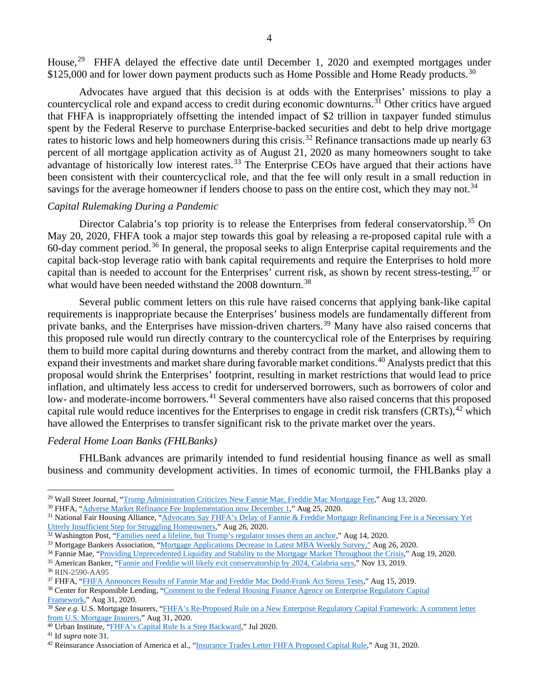House,<sup>[29](#page-3-0)</sup> FHFA delayed the effective date until December 1, 2020 and exempted mortgages under \$125,000 and for lower down payment products such as Home Possible and Home Ready products.<sup>[30](#page-3-1)</sup>

Advocates have argued that this decision is at odds with the Enterprises' missions to play a countercyclical role and expand access to credit during economic downturns.<sup>[31](#page-3-2)</sup> Other critics have argued that FHFA is inappropriately offsetting the intended impact of \$2 trillion in taxpayer funded stimulus spent by the Federal Reserve to purchase Enterprise-backed securities and debt to help drive mortgage rates to historic lows and help homeowners during this crisis.<sup>[32](#page-3-3)</sup> Refinance transactions made up nearly 63 percent of all mortgage application activity as of August 21, 2020 as many homeowners sought to take advantage of historically low interest rates.<sup>[33](#page-3-4)</sup> The Enterprise CEOs have argued that their actions have been consistent with their countercyclical role, and that the fee will only result in a small reduction in savings for the average homeowner if lenders choose to pass on the entire cost, which they may not.<sup>[34](#page-3-5)</sup>

#### *Capital Rulemaking During a Pandemic*

Director Calabria's top priority is to release the Enterprises from federal conservatorship.<sup>[35](#page-3-6)</sup> On May 20, 2020, FHFA took a major step towards this goal by releasing a re-proposed capital rule with a 60-day comment period.<sup>[36](#page-3-7)</sup> In general, the proposal seeks to align Enterprise capital requirements and the capital back-stop leverage ratio with bank capital requirements and require the Enterprises to hold more capital than is needed to account for the Enterprises' current risk, as shown by recent stress-testing,<sup>[37](#page-3-8)</sup> or what would have been needed withstand the 2008 downturn.<sup>[38](#page-3-9)</sup>

Several public comment letters on this rule have raised concerns that applying bank-like capital requirements is inappropriate because the Enterprises' business models are fundamentally different from private banks, and the Enterprises have mission-driven charters.<sup>[39](#page-3-10)</sup> Many have also raised concerns that this proposed rule would run directly contrary to the countercyclical role of the Enterprises by requiring them to build more capital during downturns and thereby contract from the market, and allowing them to expand their investments and market share during favorable market conditions.<sup>[40](#page-3-11)</sup> Analysts predict that this proposal would shrink the Enterprises' footprint, resulting in market restrictions that would lead to price inflation, and ultimately less access to credit for underserved borrowers, such as borrowers of color and low- and moderate-income borrowers.<sup>[41](#page-3-12)</sup> Several commenters have also raised concerns that this proposed capital rule would reduce incentives for the Enterprises to engage in credit risk transfers (CRTs),<sup>[42](#page-3-13)</sup> which have allowed the Enterprises to transfer significant risk to the private market over the years.

#### *Federal Home Loan Banks (FHLBanks)*

FHLBank advances are primarily intended to fund residential housing finance as well as small business and community development activities. In times of economic turmoil, the FHLBanks play a

<span id="page-3-0"></span><sup>29</sup> Wall Street Journal, ["Trump Administration Criticizes New Fannie Mae, Freddie Mac Mortgage Fee,](https://www.wsj.com/articles/trump-administration-criticizes-new-fannie-mae-freddie-mac-mortgage-fee-11597362915)" Aug 13, 2020.

<span id="page-3-1"></span><sup>30</sup> FHFA, ["Adverse Market Refinance Fee Implementation now December 1,](https://www.fhfa.gov/Media/PublicAffairs/Pages/Adverse-Market-Refinance-Fee-Implementation-Now-December-1.aspx)" Aug 25, 2020.

<span id="page-3-2"></span><sup>&</sup>lt;sup>31</sup> National Fair Housing Alliance, "Advocates Say FHFA's Delay of Fannie & Freddie Mortgage Refinancing Fee is a Necessary Yet [Utterly Insufficient Step for Struggling Homeowners,](https://nationalfairhousing.org/2020/08/27/advocates-say-fhfas-delay-of-fannie-freddie-mortgage-refinancing-fee-is-a-necessary-yet-utterly-insufficient-step-for-struggling-homeowners/)" Aug 26, 2020.

<span id="page-3-3"></span><sup>&</sup>lt;sup>32</sup> Washington Post, ["Families need a lifeline, but Trump's regulator tosses them an anchor,](https://www.washingtonpost.com/outlook/2020/08/14/families-need-lifeline-trumps-regulator-tosses-them-an-anchor/)" Aug 14, 2020.

<span id="page-3-4"></span><sup>&</sup>lt;sup>33</sup> Mortgage Bankers Association, ["Mortgage Applications Decrease in Latest MBA Weekly Survey,"](https://www.mba.org/2020-press-releases/august/mortgage-applications-decrease-in-latest-mba-weekly-survey-x272033) Aug 26, 2020.

<span id="page-3-5"></span><sup>&</sup>lt;sup>34</sup> Fannie Mae, ["Providing Unprecedented Liquidity and Stability to the Mortgage Market Throughout the Crisis,](https://www.fanniemae.com/research-and-insights/providing-unprecedented-liquidity-and-stability-mortgage-market-throughout-crisis)" Aug 19, 2020.

<span id="page-3-6"></span><sup>35</sup> American Banker, ["Fannie and Freddie will likely exit conservatorship by 2024, Calabria says,](https://www.americanbanker.com/news/fannie-and-freddie-will-likely-exit-conservatorship-by-2024-calabria-says)" Nov 13, 2019.

<span id="page-3-7"></span><sup>36</sup> RIN-2590-AA95

<span id="page-3-8"></span><sup>&</sup>lt;sup>37</sup> FHFA, ["FHFA Announces Results of Fannie Mae and Freddie Mac Dodd-Frank Act Stress Tests,](https://www.fhfa.gov/Media/PublicAffairs/Pages/FHFA-Announces-Results-of-Fannie-and-Freddie-Dodd-Frank-Act-Stress-Tests-8-2019.aspx)" Aug 15, 2019.

<span id="page-3-9"></span><sup>&</sup>lt;sup>38</sup> Center for Responsible Lending, ["Comment to the Federal Housing Finance Agency on Enterprise Regulatory Capital](https://www.responsiblelending.org/research-publication/comment-federal-housing-finance-agency-enterprise-regulatory-capital-framework) [Framework,"](https://www.responsiblelending.org/research-publication/comment-federal-housing-finance-agency-enterprise-regulatory-capital-framework) Aug 31, 2020.

<span id="page-3-10"></span><sup>&</sup>lt;sup>39</sup> See e.g. U.S. Mortgage Insurers, "FHFA's Re-Proposed Rule on a New Enterprise Regulatory Capital Framework: A comment letter [from U.S. Mortgage Insurers,](http://72nut3mk2z64bywh6c1thwjy.wpengine.netdna-cdn.com/wp-content/uploads/2020/09/USMI-Comment-Letter-to-FHFA_08.31.2020_vF.pdf)" Aug 31, 2020.

<sup>&</sup>lt;sup>40</sup> Urban Institute, ["FHFA's Capital Rule Is a Step Backward,](https://www.urban.org/sites/default/files/publication/102595/fhfa-capital-rule-is-a-step-backward_0.pdf)" Jul 2020.

<span id="page-3-12"></span><span id="page-3-11"></span><sup>41</sup> Id *supra* note 31.

<span id="page-3-13"></span><sup>42</sup> Reinsurance Association of America et al., "Insurance Trades Letter FHFA Proposed Capital Rule," Aug 31, 2020.